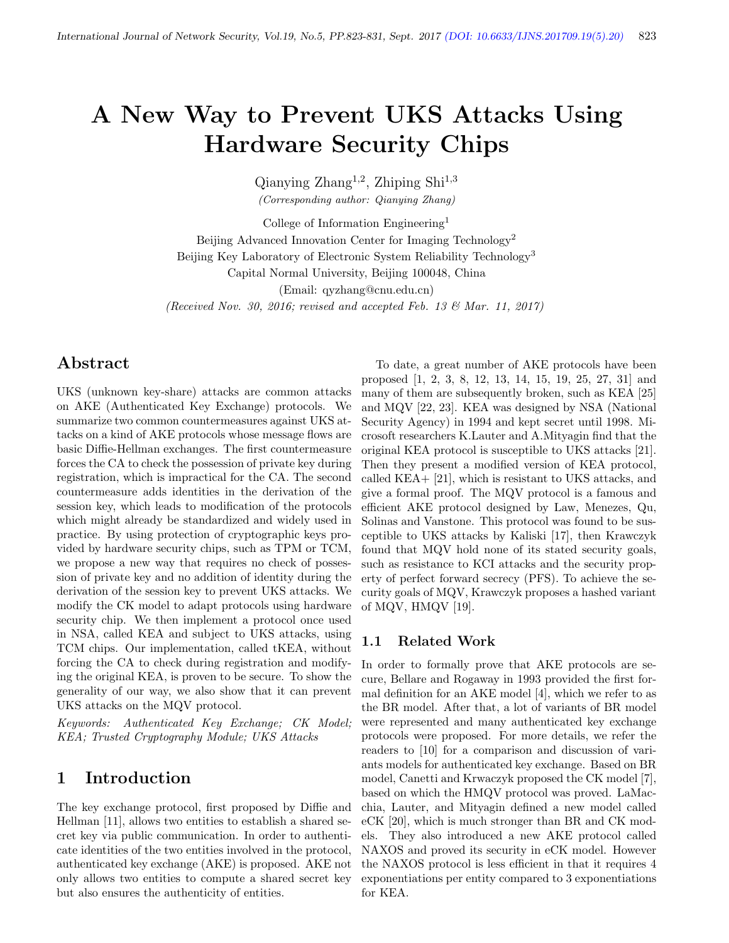# A New Way to Prevent UKS Attacks Using Hardware Security Chips

 $\text{Qianying Zhang}^{1,2}$ , Zhiping Shi<sup>1,3</sup> (Corresponding author: Qianying Zhang)

College of Information Engineering<sup>1</sup> Beijing Advanced Innovation Center for Imaging Technology<sup>2</sup> Beijing Key Laboratory of Electronic System Reliability Technology<sup>3</sup> Capital Normal University, Beijing 100048, China (Email: qyzhang@cnu.edu.cn)

(Received Nov. 30, 2016; revised and accepted Feb. 13 & Mar. 11, 2017)

## Abstract

UKS (unknown key-share) attacks are common attacks on AKE (Authenticated Key Exchange) protocols. We summarize two common countermeasures against UKS attacks on a kind of AKE protocols whose message flows are basic Diffie-Hellman exchanges. The first countermeasure forces the CA to check the possession of private key during registration, which is impractical for the CA. The second countermeasure adds identities in the derivation of the session key, which leads to modification of the protocols which might already be standardized and widely used in practice. By using protection of cryptographic keys provided by hardware security chips, such as TPM or TCM, we propose a new way that requires no check of possession of private key and no addition of identity during the derivation of the session key to prevent UKS attacks. We modify the CK model to adapt protocols using hardware security chip. We then implement a protocol once used in NSA, called KEA and subject to UKS attacks, using TCM chips. Our implementation, called tKEA, without forcing the CA to check during registration and modifying the original KEA, is proven to be secure. To show the generality of our way, we also show that it can prevent UKS attacks on the MQV protocol.

Keywords: Authenticated Key Exchange; CK Model; KEA; Trusted Cryptography Module; UKS Attacks

## 1 Introduction

The key exchange protocol, first proposed by Diffie and Hellman [11], allows two entities to establish a shared secret key via public communication. In order to authenticate identities of the two entities involved in the protocol, authenticated key exchange (AKE) is proposed. AKE not only allows two entities to compute a shared secret key but also ensures the authenticity of entities.

To date, a great number of AKE protocols have been proposed [1, 2, 3, 8, 12, 13, 14, 15, 19, 25, 27, 31] and many of them are subsequently broken, such as KEA [25] and MQV [22, 23]. KEA was designed by NSA (National Security Agency) in 1994 and kept secret until 1998. Microsoft researchers K.Lauter and A.Mityagin find that the original KEA protocol is susceptible to UKS attacks [21]. Then they present a modified version of KEA protocol, called KEA+ [21], which is resistant to UKS attacks, and give a formal proof. The MQV protocol is a famous and efficient AKE protocol designed by Law, Menezes, Qu, Solinas and Vanstone. This protocol was found to be susceptible to UKS attacks by Kaliski [17], then Krawczyk found that MQV hold none of its stated security goals, such as resistance to KCI attacks and the security property of perfect forward secrecy (PFS). To achieve the security goals of MQV, Krawczyk proposes a hashed variant of MQV, HMQV [19].

## 1.1 Related Work

In order to formally prove that AKE protocols are secure, Bellare and Rogaway in 1993 provided the first formal definition for an AKE model [4], which we refer to as the BR model. After that, a lot of variants of BR model were represented and many authenticated key exchange protocols were proposed. For more details, we refer the readers to [10] for a comparison and discussion of variants models for authenticated key exchange. Based on BR model, Canetti and Krwaczyk proposed the CK model [7], based on which the HMQV protocol was proved. LaMacchia, Lauter, and Mityagin defined a new model called eCK [20], which is much stronger than BR and CK models. They also introduced a new AKE protocol called NAXOS and proved its security in eCK model. However the NAXOS protocol is less efficient in that it requires 4 exponentiations per entity compared to 3 exponentiations for KEA.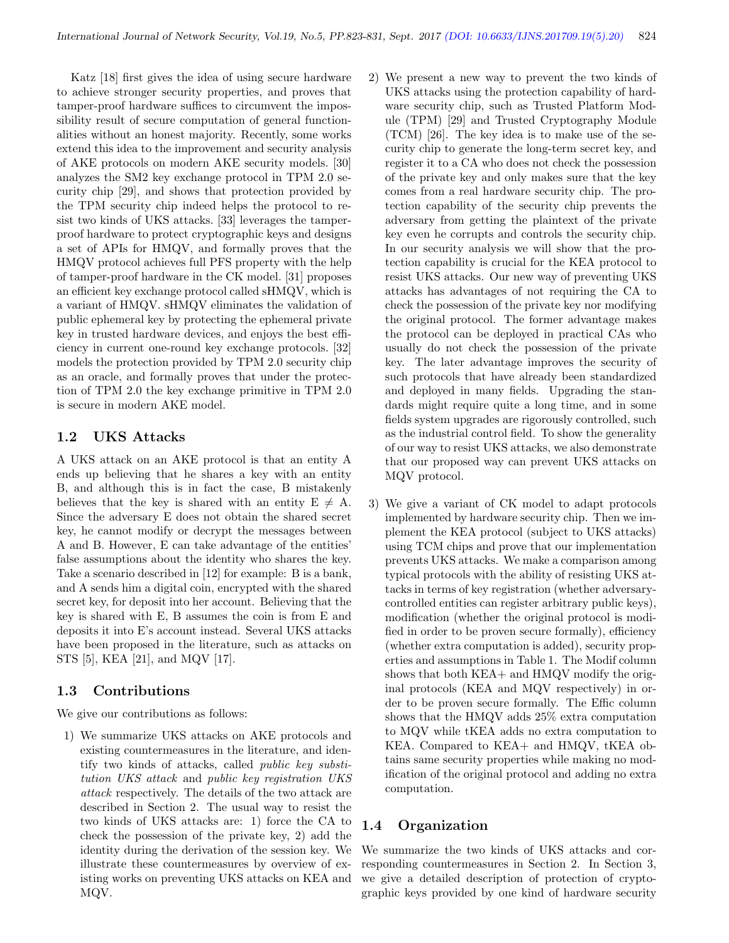Katz [18] first gives the idea of using secure hardware to achieve stronger security properties, and proves that tamper-proof hardware suffices to circumvent the impossibility result of secure computation of general functionalities without an honest majority. Recently, some works extend this idea to the improvement and security analysis of AKE protocols on modern AKE security models. [30] analyzes the SM2 key exchange protocol in TPM 2.0 security chip [29], and shows that protection provided by the TPM security chip indeed helps the protocol to resist two kinds of UKS attacks. [33] leverages the tamperproof hardware to protect cryptographic keys and designs a set of APIs for HMQV, and formally proves that the HMQV protocol achieves full PFS property with the help of tamper-proof hardware in the CK model. [31] proposes an efficient key exchange protocol called sHMQV, which is a variant of HMQV. sHMQV eliminates the validation of public ephemeral key by protecting the ephemeral private key in trusted hardware devices, and enjoys the best efficiency in current one-round key exchange protocols. [32] models the protection provided by TPM 2.0 security chip as an oracle, and formally proves that under the protection of TPM 2.0 the key exchange primitive in TPM 2.0 is secure in modern AKE model.

#### 1.2 UKS Attacks

A UKS attack on an AKE protocol is that an entity A ends up believing that he shares a key with an entity B, and although this is in fact the case, B mistakenly believes that the key is shared with an entity  $E \neq A$ . Since the adversary E does not obtain the shared secret key, he cannot modify or decrypt the messages between A and B. However, E can take advantage of the entities' false assumptions about the identity who shares the key. Take a scenario described in [12] for example: B is a bank, and A sends him a digital coin, encrypted with the shared secret key, for deposit into her account. Believing that the key is shared with E, B assumes the coin is from E and deposits it into E's account instead. Several UKS attacks have been proposed in the literature, such as attacks on STS [5], KEA [21], and MQV [17].

#### 1.3 Contributions

We give our contributions as follows:

1) We summarize UKS attacks on AKE protocols and existing countermeasures in the literature, and identify two kinds of attacks, called public key substitution UKS attack and public key registration UKS attack respectively. The details of the two attack are described in Section 2. The usual way to resist the two kinds of UKS attacks are: 1) force the CA to check the possession of the private key, 2) add the identity during the derivation of the session key. We illustrate these countermeasures by overview of existing works on preventing UKS attacks on KEA and MQV.

- 2) We present a new way to prevent the two kinds of UKS attacks using the protection capability of hardware security chip, such as Trusted Platform Module (TPM) [29] and Trusted Cryptography Module (TCM) [26]. The key idea is to make use of the security chip to generate the long-term secret key, and register it to a CA who does not check the possession of the private key and only makes sure that the key comes from a real hardware security chip. The protection capability of the security chip prevents the adversary from getting the plaintext of the private key even he corrupts and controls the security chip. In our security analysis we will show that the protection capability is crucial for the KEA protocol to resist UKS attacks. Our new way of preventing UKS attacks has advantages of not requiring the CA to check the possession of the private key nor modifying the original protocol. The former advantage makes the protocol can be deployed in practical CAs who usually do not check the possession of the private key. The later advantage improves the security of such protocols that have already been standardized and deployed in many fields. Upgrading the standards might require quite a long time, and in some fields system upgrades are rigorously controlled, such as the industrial control field. To show the generality of our way to resist UKS attacks, we also demonstrate that our proposed way can prevent UKS attacks on MQV protocol.
- 3) We give a variant of CK model to adapt protocols implemented by hardware security chip. Then we implement the KEA protocol (subject to UKS attacks) using TCM chips and prove that our implementation prevents UKS attacks. We make a comparison among typical protocols with the ability of resisting UKS attacks in terms of key registration (whether adversarycontrolled entities can register arbitrary public keys), modification (whether the original protocol is modified in order to be proven secure formally), efficiency (whether extra computation is added), security properties and assumptions in Table 1. The Modif column shows that both KEA+ and HMQV modify the original protocols (KEA and MQV respectively) in order to be proven secure formally. The Effic column shows that the HMQV adds 25% extra computation to MQV while tKEA adds no extra computation to KEA. Compared to KEA+ and HMQV, tKEA obtains same security properties while making no modification of the original protocol and adding no extra computation.

## 1.4 Organization

We summarize the two kinds of UKS attacks and corresponding countermeasures in Section 2. In Section 3, we give a detailed description of protection of cryptographic keys provided by one kind of hardware security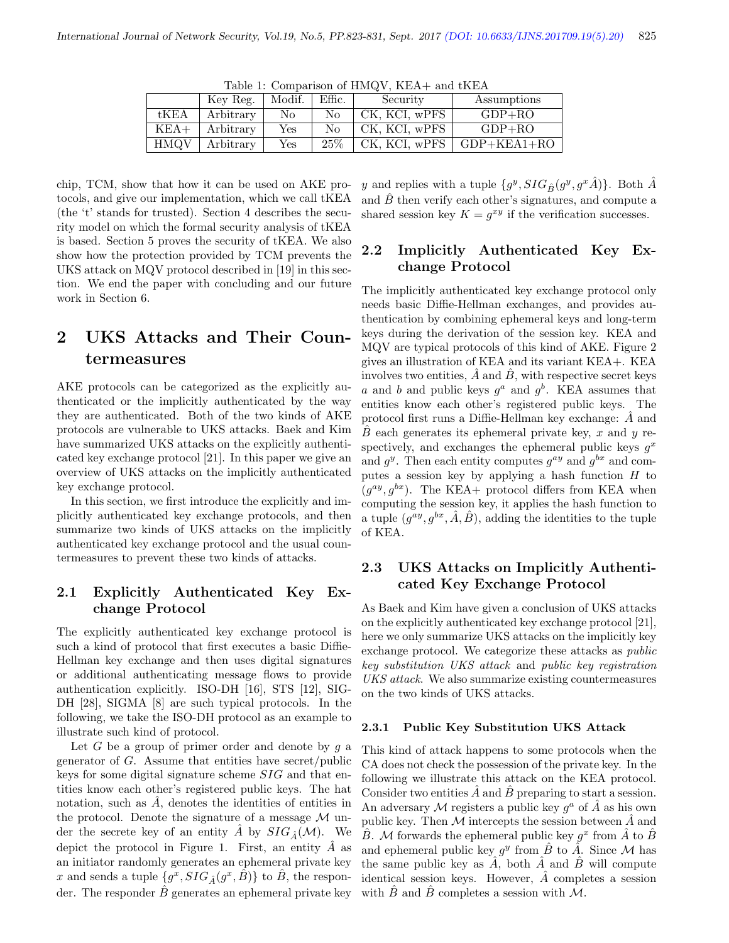| $1a$ <sub>n</sub> I. Companson of $11M\%$ v, $11M\%$ and $01M\%$ |           |        |        |               |               |  |  |  |  |
|------------------------------------------------------------------|-----------|--------|--------|---------------|---------------|--|--|--|--|
|                                                                  | Key Reg.  | Modif. | Effic. | Security      | Assumptions   |  |  |  |  |
| tKEA                                                             | Arbitrary | No.    | No     | CK, KCI, wPFS | $GDP+RO$      |  |  |  |  |
| $KEA+$                                                           | Arbitrary | Yes    | No     | CK, KCI, wPFS | $GDP+RO$      |  |  |  |  |
| <b>HMOV</b>                                                      | Arbitrary | Yes    | 25\%   | CK, KCI, wPFS | $GDP+KEA1+RO$ |  |  |  |  |

Table 1: Comparison of  $HMOV$ , KEA+ and tKEA

chip, TCM, show that how it can be used on AKE protocols, and give our implementation, which we call tKEA (the 't' stands for trusted). Section 4 describes the security model on which the formal security analysis of tKEA is based. Section 5 proves the security of tKEA. We also show how the protection provided by TCM prevents the UKS attack on MQV protocol described in [19] in this section. We end the paper with concluding and our future work in Section 6.

# 2 UKS Attacks and Their Countermeasures

AKE protocols can be categorized as the explicitly authenticated or the implicitly authenticated by the way they are authenticated. Both of the two kinds of AKE protocols are vulnerable to UKS attacks. Baek and Kim have summarized UKS attacks on the explicitly authenticated key exchange protocol [21]. In this paper we give an overview of UKS attacks on the implicitly authenticated key exchange protocol.

In this section, we first introduce the explicitly and implicitly authenticated key exchange protocols, and then summarize two kinds of UKS attacks on the implicitly authenticated key exchange protocol and the usual countermeasures to prevent these two kinds of attacks.

## 2.1 Explicitly Authenticated Key Exchange Protocol

The explicitly authenticated key exchange protocol is such a kind of protocol that first executes a basic Diffie-Hellman key exchange and then uses digital signatures or additional authenticating message flows to provide authentication explicitly. ISO-DH [16], STS [12], SIG-DH [28], SIGMA [8] are such typical protocols. In the following, we take the ISO-DH protocol as an example to illustrate such kind of protocol.

Let  $G$  be a group of primer order and denote by  $g$  a generator of  $G$ . Assume that entities have secret/public keys for some digital signature scheme SIG and that entities know each other's registered public keys. The hat notation, such as  $\ddot{A}$ , denotes the identities of entities in the protocol. Denote the signature of a message  $\mathcal M$  under the secrete key of an entity  $\ddot{A}$  by  $SIG_{\hat{A}}(\mathcal{M})$ . We depict the protocol in Figure 1. First, an entity  $\hat{A}$  as an initiator randomly generates an ephemeral private key x and sends a tuple  $\{g^x, SIG_{\hat{A}}(g^x, \hat{B})\}$  to  $\hat{B}$ , the responder. The responder  $\ddot{B}$  generates an ephemeral private key

y and replies with a tuple  $\{g^y, SIG_{\hat{B}}(g^y, g^x\hat{A})\}$ . Both  $\hat{A}$ and  $\ddot{B}$  then verify each other's signatures, and compute a shared session key  $K = g^{xy}$  if the verification successes.

## 2.2 Implicitly Authenticated Key Exchange Protocol

The implicitly authenticated key exchange protocol only needs basic Diffie-Hellman exchanges, and provides authentication by combining ephemeral keys and long-term keys during the derivation of the session key. KEA and MQV are typical protocols of this kind of AKE. Figure 2 gives an illustration of KEA and its variant KEA+. KEA involves two entities,  $\hat{A}$  and  $\hat{B}$ , with respective secret keys a and b and public keys  $g^a$  and  $g^b$ . KEA assumes that entities know each other's registered public keys. The protocol first runs a Diffie-Hellman key exchange:  $\ddot{A}$  and  $\overline{B}$  each generates its ephemeral private key, x and y respectively, and exchanges the ephemeral public keys  $g^x$ and  $g^y$ . Then each entity computes  $g^{ay}$  and  $g^{bx}$  and computes a session key by applying a hash function  $H$  to  $(g^{ay}, g^{bx})$ . The KEA+ protocol differs from KEA when computing the session key, it applies the hash function to a tuple  $(g^{ay}, g^{bx}, \hat{A}, \hat{B})$ , adding the identities to the tuple of KEA.

## 2.3 UKS Attacks on Implicitly Authenticated Key Exchange Protocol

As Baek and Kim have given a conclusion of UKS attacks on the explicitly authenticated key exchange protocol [21], here we only summarize UKS attacks on the implicitly key exchange protocol. We categorize these attacks as public key substitution UKS attack and public key registration UKS attack. We also summarize existing countermeasures on the two kinds of UKS attacks.

#### 2.3.1 Public Key Substitution UKS Attack

This kind of attack happens to some protocols when the CA does not check the possession of the private key. In the following we illustrate this attack on the KEA protocol. Consider two entities  $\hat{A}$  and  $\hat{B}$  preparing to start a session. An adversary M registers a public key  $g^a$  of  $\hat{A}$  as his own public key. Then  $M$  intercepts the session between  $\hat{A}$  and  $\hat{B}$ . M forwards the ephemeral public key  $g^x$  from  $\hat{A}$  to  $\hat{B}$ and ephemeral public key  $g^y$  from  $\hat{B}$  to  $\tilde{A}$ . Since M has the same public key as  $\overline{A}$ , both  $\overline{A}$  and  $\overline{B}$  will compute identical session keys. However,  $\overline{A}$  completes a session with  $\ddot{B}$  and  $\ddot{B}$  completes a session with  $\mathcal{M}$ .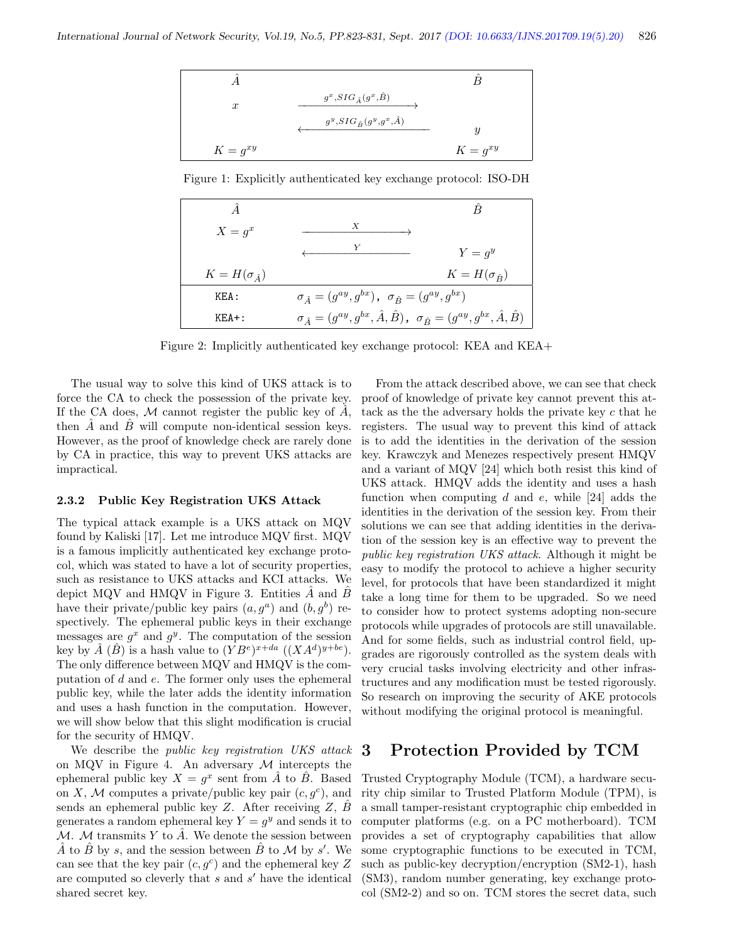

Figure 1: Explicitly authenticated key exchange protocol: ISO-DH

| $X = g^x$                 | $\boldsymbol{X}$                                                                                          |                           |
|---------------------------|-----------------------------------------------------------------------------------------------------------|---------------------------|
|                           |                                                                                                           | $Y = q^y$                 |
| $K = H(\sigma_{\hat{A}})$ |                                                                                                           | $K = H(\sigma_{\hat{B}})$ |
| KEA:                      | $\sigma_{\hat{A}} = (g^{ay}, g^{bx})$ , $\sigma_{\hat{B}} = (g^{ay}, g^{bx})$                             |                           |
| $KEA+$ :                  | $\sigma_{\,{\hat A}}=(g^{ay},g^{bx},\hat A,\hat B)\,,\;\;\sigma_{\,\hat B}=(g^{ay},g^{bx},\hat A,\hat B)$ |                           |

Figure 2: Implicitly authenticated key exchange protocol: KEA and KEA+

The usual way to solve this kind of UKS attack is to force the CA to check the possession of the private key. If the CA does, M cannot register the public key of  $\ddot{A}$ , then  $A$  and  $B$  will compute non-identical session keys. However, as the proof of knowledge check are rarely done by CA in practice, this way to prevent UKS attacks are impractical.

#### 2.3.2 Public Key Registration UKS Attack

The typical attack example is a UKS attack on MQV found by Kaliski [17]. Let me introduce MQV first. MQV is a famous implicitly authenticated key exchange protocol, which was stated to have a lot of security properties, such as resistance to UKS attacks and KCI attacks. We depict MQV and HMQV in Figure 3. Entities  $\ddot{A}$  and  $\ddot{B}$ have their private/public key pairs  $(a, g^a)$  and  $(b, g^b)$  respectively. The ephemeral public keys in their exchange messages are  $g^x$  and  $g^y$ . The computation of the session key by  $\hat{A}$   $(\hat{B})$  is a hash value to  $(YB^e)^{x+da}$   $((XA^d)^{y+be})$ . The only difference between MQV and HMQV is the computation of d and e. The former only uses the ephemeral public key, while the later adds the identity information and uses a hash function in the computation. However, we will show below that this slight modification is crucial for the security of HMQV.

We describe the *public key registration UKS* attack on MQV in Figure 4. An adversary  $M$  intercepts the ephemeral public key  $X = g^x$  sent from  $\hat{A}$  to  $\hat{B}$ . Based on X, M computes a private/public key pair  $(c, g^c)$ , and sends an ephemeral public key  $Z$ . After receiving  $Z$ ,  $B$ generates a random ephemeral key  $Y = g^y$  and sends it to M. M transmits Y to  $\hat{A}$ . We denote the session between  $\hat{A}$  to  $\hat{B}$  by s, and the session between  $\hat{B}$  to  $\mathcal M$  by s'. We can see that the key pair  $(c, g<sup>c</sup>)$  and the ephemeral key Z are computed so cleverly that  $s$  and  $s'$  have the identical shared secret key.

From the attack described above, we can see that check proof of knowledge of private key cannot prevent this attack as the the adversary holds the private key  $c$  that he registers. The usual way to prevent this kind of attack is to add the identities in the derivation of the session key. Krawczyk and Menezes respectively present HMQV and a variant of MQV [24] which both resist this kind of UKS attack. HMQV adds the identity and uses a hash function when computing  $d$  and  $e$ , while [24] adds the identities in the derivation of the session key. From their solutions we can see that adding identities in the derivation of the session key is an effective way to prevent the public key registration UKS attack. Although it might be easy to modify the protocol to achieve a higher security level, for protocols that have been standardized it might take a long time for them to be upgraded. So we need to consider how to protect systems adopting non-secure protocols while upgrades of protocols are still unavailable. And for some fields, such as industrial control field, upgrades are rigorously controlled as the system deals with very crucial tasks involving electricity and other infrastructures and any modification must be tested rigorously. So research on improving the security of AKE protocols without modifying the original protocol is meaningful.

#### 3 Protection Provided by TCM

Trusted Cryptography Module (TCM), a hardware security chip similar to Trusted Platform Module (TPM), is a small tamper-resistant cryptographic chip embedded in computer platforms (e.g. on a PC motherboard). TCM provides a set of cryptography capabilities that allow some cryptographic functions to be executed in TCM, such as public-key decryption/encryption (SM2-1), hash (SM3), random number generating, key exchange protocol (SM2-2) and so on. TCM stores the secret data, such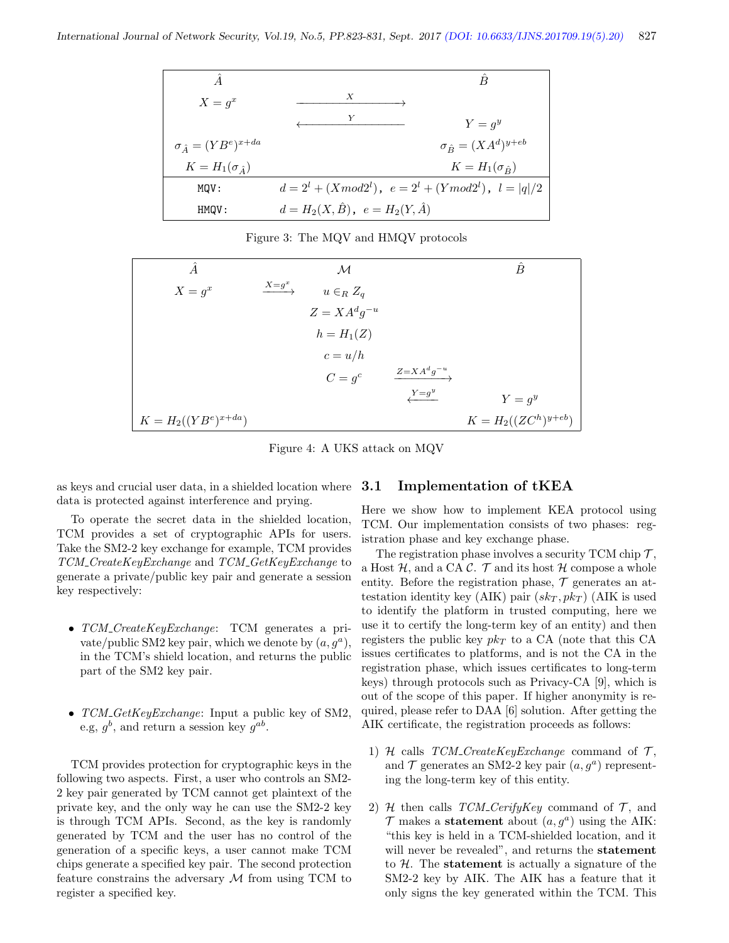| $X = g^x$                          | X                                                               |
|------------------------------------|-----------------------------------------------------------------|
|                                    | Y<br>$Y = q^y$                                                  |
| $\sigma_{\hat{A}} = (YB^e)^{x+da}$ | $\sigma_{\hat{B}} = (XA^d)^{y+eb}$                              |
| $K=H_1(\sigma_{\hat{A}})$          | $K = H_1(\sigma_{\hat{B}})$                                     |
| MOV:                               | $d = 2^l + (X \mod 2^l), \ e = 2^l + (Y \mod 2^l), \ l =  q /2$ |
| HMQV:                              | $d = H_2(X, \hat{B}), e = H_2(Y, \hat{A})$                      |

Figure 3: The MQV and HMQV protocols

| Â                        |                       | М                  |                     | Ê                        |
|--------------------------|-----------------------|--------------------|---------------------|--------------------------|
| $X = g^x$                | $\xrightarrow{X=g^x}$ | $u \in_R Z_q$      |                     |                          |
|                          |                       | $Z = X A^d g^{-u}$ |                     |                          |
|                          |                       | $h = H_1(Z)$       |                     |                          |
|                          |                       | $c = u/h$          |                     |                          |
|                          |                       | $C = g^c$          | $Z = X A^d g^{-u}.$ |                          |
|                          |                       |                    | $Y = g^y$           | $Y = g^y$                |
| $K = H_2((YB^e)^{x+da})$ |                       |                    |                     | $K = H_2((ZC^h)^{y+eb})$ |

Figure 4: A UKS attack on MQV

as keys and crucial user data, in a shielded location where data is protected against interference and prying.

To operate the secret data in the shielded location, TCM provides a set of cryptographic APIs for users. Take the SM2-2 key exchange for example, TCM provides TCM CreateKeyExchange and TCM GetKeyExchange to generate a private/public key pair and generate a session key respectively:

- TCM\_CreateKeyExchange: TCM generates a private/public SM2 key pair, which we denote by  $(a, g^a)$ , in the TCM's shield location, and returns the public part of the SM2 key pair.
- $TCM\_GetKeyExchange: Input a public key of SM2,$ e.g,  $g^b$ , and return a session key  $g^{ab}$ .

TCM provides protection for cryptographic keys in the following two aspects. First, a user who controls an SM2- 2 key pair generated by TCM cannot get plaintext of the private key, and the only way he can use the SM2-2 key is through TCM APIs. Second, as the key is randomly generated by TCM and the user has no control of the generation of a specific keys, a user cannot make TCM chips generate a specified key pair. The second protection feature constrains the adversary  $M$  from using TCM to register a specified key.

#### 3.1 Implementation of tKEA

Here we show how to implement KEA protocol using TCM. Our implementation consists of two phases: registration phase and key exchange phase.

The registration phase involves a security TCM chip  $\mathcal{T}$ , a Host  $H$ , and a CA C.  $T$  and its host  $H$  compose a whole entity. Before the registration phase,  $\mathcal T$  generates an attestation identity key (AIK) pair  $(sk_T, pk_T$ ) (AIK is used to identify the platform in trusted computing, here we use it to certify the long-term key of an entity) and then registers the public key  $pk<sub>T</sub>$  to a CA (note that this CA issues certificates to platforms, and is not the CA in the registration phase, which issues certificates to long-term keys) through protocols such as Privacy-CA [9], which is out of the scope of this paper. If higher anonymity is required, please refer to DAA [6] solution. After getting the AIK certificate, the registration proceeds as follows:

- 1) H calls  $TCM_CreateKeyExchange$  command of  $\mathcal{T}$ , and  $\mathcal T$  generates an SM2-2 key pair  $(a, g^a)$  representing the long-term key of this entity.
- 2) H then calls  $TCM_CerifyKey$  command of  $T$ , and  $\mathcal T$  makes a **statement** about  $(a, g^a)$  using the AIK: "this key is held in a TCM-shielded location, and it will never be revealed", and returns the statement to  $H$ . The **statement** is actually a signature of the SM2-2 key by AIK. The AIK has a feature that it only signs the key generated within the TCM. This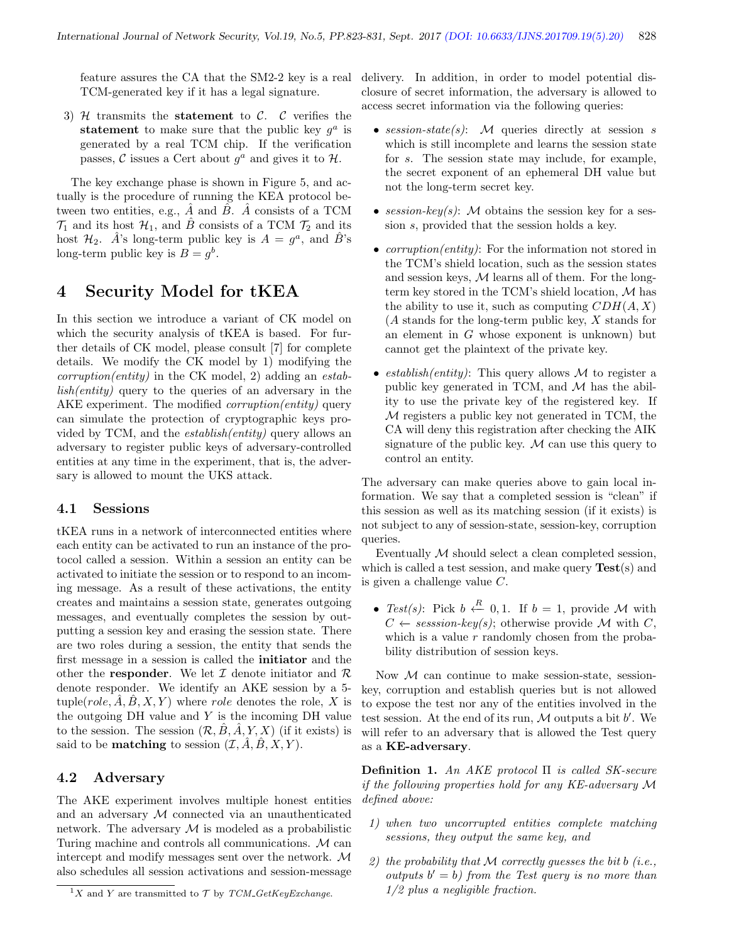feature assures the CA that the SM2-2 key is a real TCM-generated key if it has a legal signature.

3) H transmits the **statement** to C. C verifies the statement to make sure that the public key  $g^a$  is generated by a real TCM chip. If the verification passes, C issues a Cert about  $g^a$  and gives it to  $\mathcal{H}$ .

The key exchange phase is shown in Figure 5, and actually is the procedure of running the KEA protocol between two entities, e.g.,  $\hat{A}$  and  $\hat{B}$ .  $\hat{A}$  consists of a TCM  $\mathcal{T}_1$  and its host  $\mathcal{H}_1$ , and  $\hat{B}$  consists of a TCM  $\mathcal{T}_2$  and its host  $\mathcal{H}_2$ .  $\hat{A}$ 's long-term public key is  $A = g^a$ , and  $\hat{B}$ 's long-term public key is  $B = g<sup>b</sup>$ .

## 4 Security Model for tKEA

In this section we introduce a variant of CK model on which the security analysis of tKEA is based. For further details of CK model, please consult [7] for complete details. We modify the CK model by 1) modifying the  $corruption(entity)$  in the CK model, 2) adding an *estab* $lish(entity)$  query to the queries of an adversary in the AKE experiment. The modified *corruption(entity)* query can simulate the protection of cryptographic keys provided by TCM, and the establish(entity) query allows an adversary to register public keys of adversary-controlled entities at any time in the experiment, that is, the adversary is allowed to mount the UKS attack.

#### 4.1 Sessions

tKEA runs in a network of interconnected entities where each entity can be activated to run an instance of the protocol called a session. Within a session an entity can be activated to initiate the session or to respond to an incoming message. As a result of these activations, the entity creates and maintains a session state, generates outgoing messages, and eventually completes the session by outputting a session key and erasing the session state. There are two roles during a session, the entity that sends the first message in a session is called the initiator and the other the **responder**. We let  $\mathcal I$  denote initiator and  $\mathcal R$ denote responder. We identify an AKE session by a 5 tuple(*role, A, B, X, Y*) where *role* denotes the role, X is the outgoing  $DH$  value and  $Y$  is the incoming  $DH$  value to the session. The session  $(\mathcal{R}, \hat{B}, \hat{A}, Y, X)$  (if it exists) is said to be **matching** to session  $(\mathcal{I}, \hat{A}, \hat{B}, X, Y)$ .

#### 4.2 Adversary

The AKE experiment involves multiple honest entities and an adversary M connected via an unauthenticated network. The adversary  $M$  is modeled as a probabilistic Turing machine and controls all communications. M can intercept and modify messages sent over the network. M also schedules all session activations and session-message

delivery. In addition, in order to model potential disclosure of secret information, the adversary is allowed to access secret information via the following queries:

- session-state(s):  $M$  queries directly at session s which is still incomplete and learns the session state for s. The session state may include, for example, the secret exponent of an ephemeral DH value but not the long-term secret key.
- session-key(s): M obtains the session key for a session s, provided that the session holds a key.
- *corruption(entity)*: For the information not stored in the TCM's shield location, such as the session states and session keys,  $M$  learns all of them. For the longterm key stored in the TCM's shield location, M has the ability to use it, such as computing  $CDH(A, X)$ (A stands for the long-term public key, X stands for an element in  $G$  whose exponent is unknown) but cannot get the plaintext of the private key.
- establish(entity): This query allows M to register a public key generated in TCM, and  $M$  has the ability to use the private key of the registered key. If M registers a public key not generated in TCM, the CA will deny this registration after checking the AIK signature of the public key.  $M$  can use this query to control an entity.

The adversary can make queries above to gain local information. We say that a completed session is "clean" if this session as well as its matching session (if it exists) is not subject to any of session-state, session-key, corruption queries.

Eventually  $M$  should select a clean completed session, which is called a test session, and make query  $Test(s)$  and is given a challenge value  $C$ .

• Test(s): Pick  $b \leftarrow 0, 1$ . If  $b = 1$ , provide M with  $C \leftarrow session-key(s);$  otherwise provide M with C, which is a value  $r$  randomly chosen from the probability distribution of session keys.

Now  $M$  can continue to make session-state, sessionkey, corruption and establish queries but is not allowed to expose the test nor any of the entities involved in the test session. At the end of its run,  $M$  outputs a bit  $b'$ . We will refer to an adversary that is allowed the Test query as a KE-adversary.

Definition 1. An AKE protocol  $\Pi$  is called SK-secure if the following properties hold for any KE-adversary M defined above:

- 1) when two uncorrupted entities complete matching sessions, they output the same key, and
- 2) the probability that M correctly guesses the bit b (i.e., outputs  $b' = b$ ) from the Test query is no more than 1/2 plus a negligible fraction.

<sup>&</sup>lt;sup>1</sup>X and Y are transmitted to  $\mathcal T$  by TCM\_GetKeyExchange.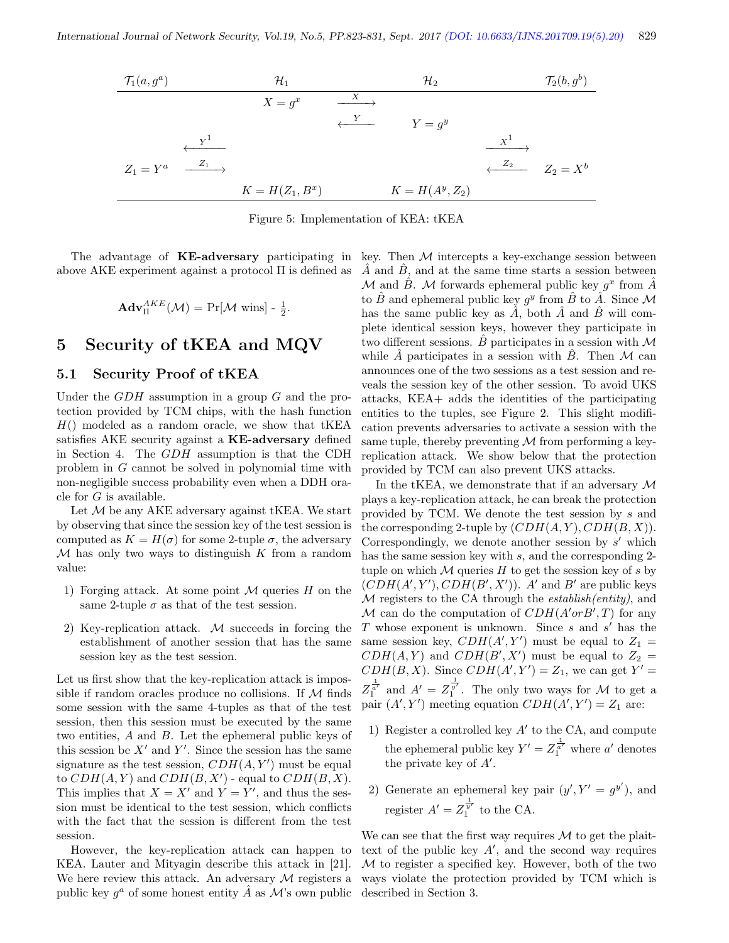

Figure 5: Implementation of KEA: tKEA

The advantage of **KE-adversary** participating in key. Then  $M$  intercepts a key-exchange session between above AKE experiment against a protocol  $\Pi$  is defined as

$$
\mathbf{Adv}_{\Pi}^{AKE}(\mathcal{M}) = \Pr[\mathcal{M} \text{ wins}] - \frac{1}{2}.
$$

## 5 Security of tKEA and MQV

#### 5.1 Security Proof of tKEA

Under the  $GDH$  assumption in a group  $G$  and the protection provided by TCM chips, with the hash function  $H()$  modeled as a random oracle, we show that tKEA satisfies AKE security against a **KE-adversary** defined in Section 4. The GDH assumption is that the CDH problem in G cannot be solved in polynomial time with non-negligible success probability even when a DDH oracle for  $G$  is available.

Let  $M$  be any AKE adversary against tKEA. We start by observing that since the session key of the test session is computed as  $K = H(\sigma)$  for some 2-tuple  $\sigma$ , the adversary  $M$  has only two ways to distinguish K from a random value:

- 1) Forging attack. At some point  $M$  queries  $H$  on the same 2-tuple  $\sigma$  as that of the test session.
- 2) Key-replication attack. M succeeds in forcing the establishment of another session that has the same session key as the test session.

Let us first show that the key-replication attack is impossible if random oracles produce no collisions. If  $M$  finds some session with the same 4-tuples as that of the test session, then this session must be executed by the same two entities, A and B. Let the ephemeral public keys of this session be  $X'$  and  $Y'$ . Since the session has the same signature as the test session,  $CDH(A, Y')$  must be equal to  $CDH(A, Y)$  and  $CDH(B, X')$  - equal to  $CDH(B, X)$ . This implies that  $X = X'$  and  $Y = Y'$ , and thus the session must be identical to the test session, which conflicts with the fact that the session is different from the test session.

However, the key-replication attack can happen to KEA. Lauter and Mityagin describe this attack in [21]. We here review this attack. An adversary  $M$  registers a public key  $g^a$  of some honest entity  $\hat{A}$  as  $\mathcal{M}$ 's own public

 $\overline{A}$  and  $\overline{B}$ , and at the same time starts a session between M and  $\hat{B}$ . M forwards ephemeral public key  $g^x$  from  $\hat{A}$ to  $\hat{B}$  and ephemeral public key  $g^y$  from  $\hat{B}$  to  $\hat{A}$ . Since M has the same public key as  $\hat{A}$ , both  $\hat{A}$  and  $\hat{B}$  will complete identical session keys, however they participate in two different sessions. B participates in a session with  $\mathcal M$ while  $\hat{A}$  participates in a session with  $\hat{B}$ . Then  $\cal{M}$  can announces one of the two sessions as a test session and reveals the session key of the other session. To avoid UKS attacks, KEA+ adds the identities of the participating entities to the tuples, see Figure 2. This slight modification prevents adversaries to activate a session with the same tuple, thereby preventing  $\mathcal M$  from performing a keyreplication attack. We show below that the protection provided by TCM can also prevent UKS attacks.

In the tKEA, we demonstrate that if an adversary  $\mathcal M$ plays a key-replication attack, he can break the protection provided by TCM. We denote the test session by s and the corresponding 2-tuple by  $(CDH(A, Y), CDH(B, X)).$ Correspondingly, we denote another session by  $s'$  which has the same session key with s, and the corresponding 2tuple on which  $M$  queries  $H$  to get the session key of s by  $(CDH(A', Y'), CDH(B', X')).$  A' and B' are public keys M registers to the CA through the *establish(entity)*, and M can do the computation of  $CDH(A'orB',T)$  for any T whose exponent is unknown. Since  $s$  and  $s'$  has the same session key,  $CDH(A', Y')$  must be equal to  $Z_1 =$  $CDH(A, Y)$  and  $CDH(B', X')$  must be equal to  $Z_2 =$  $CDH(B, X)$ . Since  $CDH(A', Y') = Z_1$ , we can get  $Y' =$  $Z_1^{\frac{1}{\alpha'}}$  and  $A' = Z_1^{\frac{1}{\alpha'}}$ . The only two ways for M to get a pair  $(A', Y')$  meeting equation  $CDH(A', Y') = Z_1$  are:

- 1) Register a controlled key  $A'$  to the CA, and compute the ephemeral public key  $Y' = Z_1^{\frac{1}{a'}}$  where  $a'$  denotes the private key of  $A'$ .
- 2) Generate an ephemeral key pair  $(y', Y' = g^{y'})$ , and register  $A' = Z_1^{\frac{1}{y'}}$  to the CA.

We can see that the first way requires  $\mathcal M$  to get the plaittext of the public key  $A'$ , and the second way requires M to register a specified key. However, both of the two ways violate the protection provided by TCM which is described in Section 3.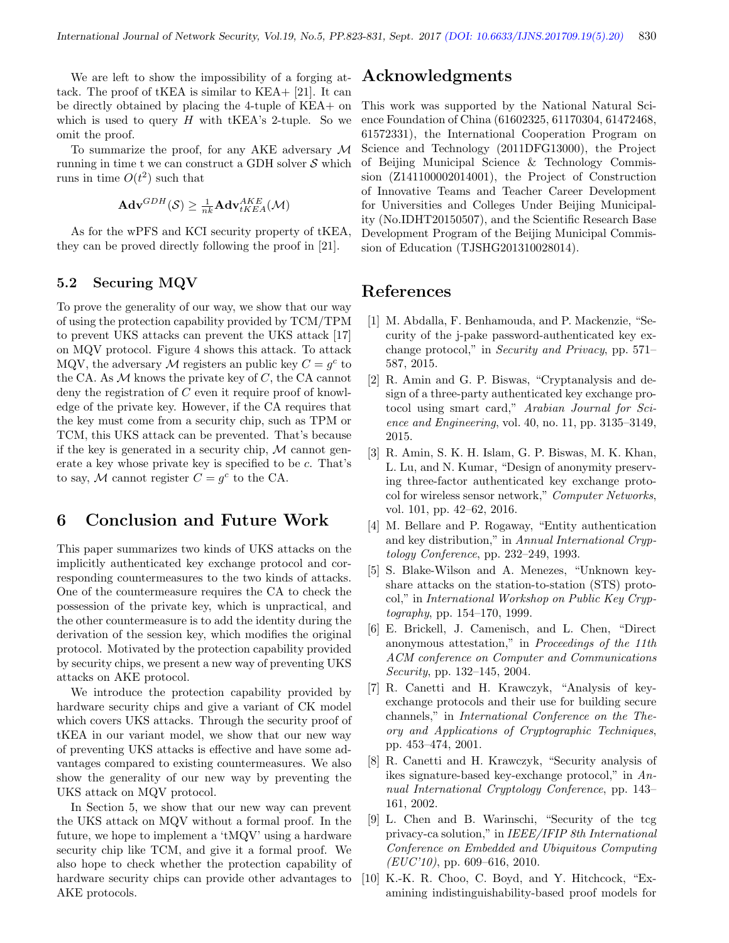We are left to show the impossibility of a forging attack. The proof of tKEA is similar to KEA+ [21]. It can be directly obtained by placing the 4-tuple of KEA+ on which is used to query  $H$  with tKEA's 2-tuple. So we omit the proof.

To summarize the proof, for any AKE adversary M running in time t we can construct a GDH solver  $S$  which runs in time  $O(t^2)$  such that

$$
\mathbf{Adv}^{GDH}(\mathcal{S}) \geq \tfrac{1}{nk}\mathbf{Adv}_{tKEA}^{AKE}(\mathcal{M})
$$

As for the wPFS and KCI security property of tKEA, they can be proved directly following the proof in [21].

#### 5.2 Securing MQV

To prove the generality of our way, we show that our way of using the protection capability provided by TCM/TPM to prevent UKS attacks can prevent the UKS attack [17] on MQV protocol. Figure 4 shows this attack. To attack MQV, the adversary M registers an public key  $C = g^c$  to the CA. As  $M$  knows the private key of  $C$ , the CA cannot deny the registration of C even it require proof of knowledge of the private key. However, if the CA requires that the key must come from a security chip, such as TPM or TCM, this UKS attack can be prevented. That's because if the key is generated in a security chip,  $M$  cannot generate a key whose private key is specified to be c. That's to say, M cannot register  $C = g^c$  to the CA.

## 6 Conclusion and Future Work

This paper summarizes two kinds of UKS attacks on the implicitly authenticated key exchange protocol and corresponding countermeasures to the two kinds of attacks. One of the countermeasure requires the CA to check the possession of the private key, which is unpractical, and the other countermeasure is to add the identity during the derivation of the session key, which modifies the original protocol. Motivated by the protection capability provided by security chips, we present a new way of preventing UKS attacks on AKE protocol.

We introduce the protection capability provided by hardware security chips and give a variant of CK model which covers UKS attacks. Through the security proof of tKEA in our variant model, we show that our new way of preventing UKS attacks is effective and have some advantages compared to existing countermeasures. We also show the generality of our new way by preventing the UKS attack on MQV protocol.

In Section 5, we show that our new way can prevent the UKS attack on MQV without a formal proof. In the future, we hope to implement a 'tMQV' using a hardware security chip like TCM, and give it a formal proof. We also hope to check whether the protection capability of hardware security chips can provide other advantages to AKE protocols.

## Acknowledgments

This work was supported by the National Natural Science Foundation of China (61602325, 61170304, 61472468, 61572331), the International Cooperation Program on Science and Technology (2011DFG13000), the Project of Beijing Municipal Science & Technology Commission (Z141100002014001), the Project of Construction of Innovative Teams and Teacher Career Development for Universities and Colleges Under Beijing Municipality (No.IDHT20150507), and the Scientific Research Base Development Program of the Beijing Municipal Commission of Education (TJSHG201310028014).

## References

- [1] M. Abdalla, F. Benhamouda, and P. Mackenzie, "Security of the j-pake password-authenticated key exchange protocol," in Security and Privacy, pp. 571– 587, 2015.
- [2] R. Amin and G. P. Biswas, "Cryptanalysis and design of a three-party authenticated key exchange protocol using smart card," Arabian Journal for Science and Engineering, vol. 40, no. 11, pp. 3135–3149, 2015.
- [3] R. Amin, S. K. H. Islam, G. P. Biswas, M. K. Khan, L. Lu, and N. Kumar, "Design of anonymity preserving three-factor authenticated key exchange protocol for wireless sensor network," Computer Networks, vol. 101, pp. 42–62, 2016.
- [4] M. Bellare and P. Rogaway, "Entity authentication and key distribution," in Annual International Cryptology Conference, pp. 232–249, 1993.
- [5] S. Blake-Wilson and A. Menezes, "Unknown keyshare attacks on the station-to-station (STS) protocol," in International Workshop on Public Key Cryptography, pp. 154–170, 1999.
- [6] E. Brickell, J. Camenisch, and L. Chen, "Direct anonymous attestation," in Proceedings of the 11th ACM conference on Computer and Communications Security, pp. 132–145, 2004.
- [7] R. Canetti and H. Krawczyk, "Analysis of keyexchange protocols and their use for building secure channels," in International Conference on the Theory and Applications of Cryptographic Techniques, pp. 453–474, 2001.
- [8] R. Canetti and H. Krawczyk, "Security analysis of ikes signature-based key-exchange protocol," in Annual International Cryptology Conference, pp. 143– 161, 2002.
- [9] L. Chen and B. Warinschi, "Security of the tcg privacy-ca solution," in IEEE/IFIP 8th International Conference on Embedded and Ubiquitous Computing  $(EUC'10)$ , pp. 609–616, 2010.
- [10] K.-K. R. Choo, C. Boyd, and Y. Hitchcock, "Examining indistinguishability-based proof models for